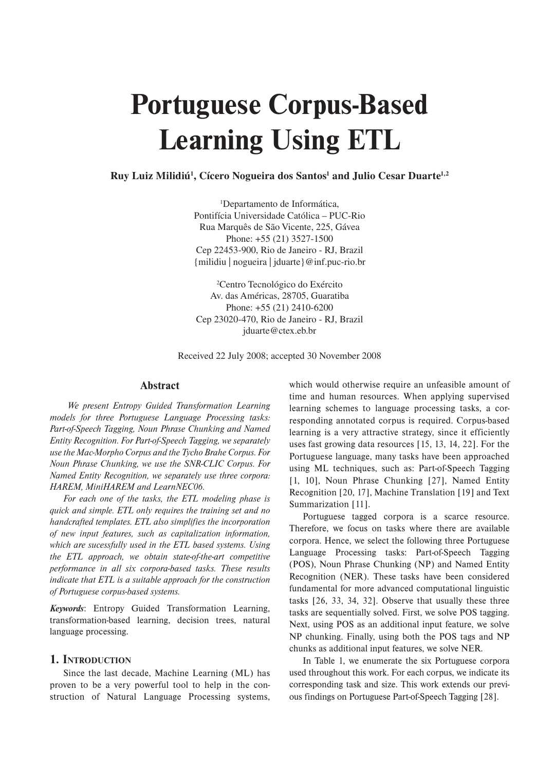# **Portuguese Corpus-Based Learning Using ETL**

Ruy Luiz Milidiú<sup>1</sup>, Cícero Nogueira dos Santos<sup>1</sup> and Julio Cesar Duarte<sup>1,2</sup>

1 Departamento de Informática, Pontifícia Universidade Católica – PUC-Rio Rua Marquês de São Vicente, 225, Gávea Phone: +55 (21) 3527-1500 Cep 22453-900, Rio de Janeiro - RJ, Brazil {milidiu | nogueira | jduarte}@inf.puc-rio.br

2 Centro Tecnológico do Exército Av. das Américas, 28705, Guaratiba Phone: +55 (21) 2410-6200 Cep 23020-470, Rio de Janeiro - RJ, Brazil jduarte@ctex.eb.br

Received 22 July 2008; accepted 30 November 2008

# **Abstract**

 *We present Entropy Guided Transformation Learning models for three Portuguese Language Processing tasks: Part-of-Speech Tagging, Noun Phrase Chunking and Named Entity Recognition. For Part-of-Speech Tagging, we separately use the Mac-Morpho Corpus and the Tycho Brahe Corpus. For Noun Phrase Chunking, we use the SNR-CLIC Corpus. For Named Entity Recognition, we separately use three corpora: HAREM, MiniHAREM and LearnNEC06.*

*For each one of the tasks, the ETL modeling phase is quick and simple. ETL only requires the training set and no handcrafted templates. ETL also simplifies the incorporation of new input features, such as capitalization information, which are sucessfully used in the ETL based systems. Using the ETL approach, we obtain state-of-the-art competitive performance in all six corpora-based tasks. These results indicate that ETL is a suitable approach for the construction of Portuguese corpus-based systems.* 

*Keywords*: Entropy Guided Transformation Learning, transformation-based learning, decision trees, natural language processing.

### **1. INTRODUCTION**

Since the last decade, Machine Learning (ML) has proven to be a very powerful tool to help in the construction of Natural Language Processing systems, which would otherwise require an unfeasible amount of time and human resources. When applying supervised learning schemes to language processing tasks, a corresponding annotated corpus is required. Corpus-based learning is a very attractive strategy, since it efficiently uses fast growing data resources [15, 13, 14, 22]. For the Portuguese language, many tasks have been approached using ML techniques, such as: Part-of-Speech Tagging [1, 10], Noun Phrase Chunking [27], Named Entity Recognition [20, 17], Machine Translation [19] and Text Summarization [11].

Portuguese tagged corpora is a scarce resource. Therefore, we focus on tasks where there are available corpora. Hence, we select the following three Portuguese Language Processing tasks: Part-of-Speech Tagging (POS), Noun Phrase Chunking (NP) and Named Entity Recognition (NER). These tasks have been considered fundamental for more advanced computational linguistic tasks [26, 33, 34, 32]. Observe that usually these three tasks are sequentially solved. First, we solve POS tagging. Next, using POS as an additional input feature, we solve NP chunking. Finally, using both the POS tags and NP chunks as additional input features, we solve NER.

In Table 1, we enumerate the six Portuguese corpora used throughout this work. For each corpus, we indicate its corresponding task and size. This work extends our previous findings on Portuguese Part-of-Speech Tagging [28].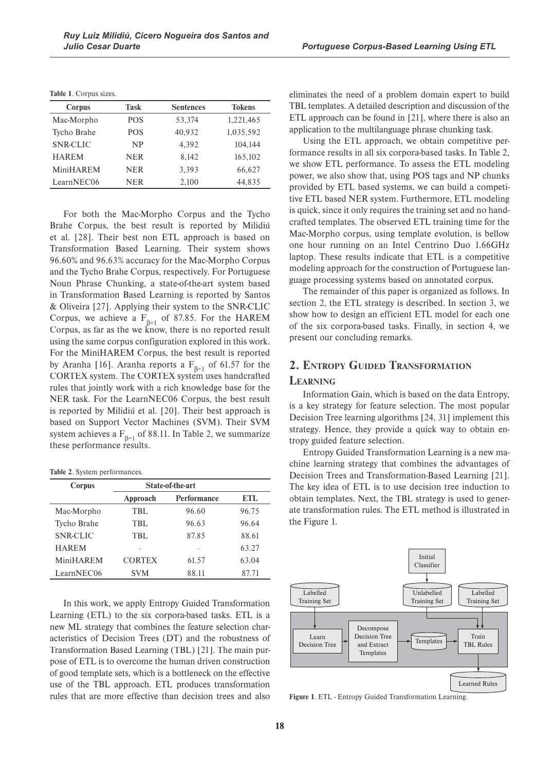**Table 1**. Corpus sizes.

| $1401C$ $1. CO1$ $D43$ $SLCS$ . |            |                  |               |
|---------------------------------|------------|------------------|---------------|
| Corpus                          | Task       | <b>Sentences</b> | <b>Tokens</b> |
| Mac-Morpho                      | <b>POS</b> | 53.374           | 1.221.465     |
| Tycho Brahe                     | <b>POS</b> | 40.932           | 1,035,592     |
| <b>SNR-CLIC</b>                 | NP         | 4.392            | 104.144       |
| <b>HAREM</b>                    | NER        | 8.142            | 165,102       |
| MiniHAREM                       | NER        | 3.393            | 66,627        |
| LearnNEC06                      | <b>NER</b> | 2,100            | 44.835        |
|                                 |            |                  |               |

For both the Mac-Morpho Corpus and the Tycho Brahe Corpus, the best result is reported by Milidiú et al. [28]. Their best non ETL approach is based on Transformation Based Learning. Their system shows 96.60% and 96.63% accuracy for the Mac-Morpho Corpus and the Tycho Brahe Corpus, respectively. For Portuguese Noun Phrase Chunking, a state-of-the-art system based in Transformation Based Learning is reported by Santos & Oliveira [27]. Applying their system to the SNR-CLIC Corpus, we achieve a  $F_{\beta=1}$  of 87.85. For the HAREM Corpus, as far as the we know, there is no reported result using the same corpus configuration explored in this work. For the MiniHAREM Corpus, the best result is reported by Aranha [16]. Aranha reports a  $F_{\beta=1}$  of 61.57 for the CORTEX system. The CORTEX system uses handcrafted rules that jointly work with a rich knowledge base for the NER task. For the LearnNEC06 Corpus, the best result is reported by Milidiú et al. [20]. Their best approach is based on Support Vector Machines (SVM). Their SVM system achieves a  $F_{\beta=1}$  of 88.11. In Table 2, we summarize these performance results.

**Table 2**. System performances.

| Corpus       | State-of-the-art |                    |       |  |
|--------------|------------------|--------------------|-------|--|
|              | Approach         | <b>Performance</b> | ETL   |  |
| Mac-Morpho   | TBL.             | 96.60              | 96.75 |  |
| Tycho Brahe  | TBL              | 96.63              | 96.64 |  |
| SNR-CLIC     | TBL              | 87.85              | 88.61 |  |
| <b>HAREM</b> | ۰                | ٠                  | 63.27 |  |
| MiniHAREM    | <b>CORTEX</b>    | 61.57              | 63.04 |  |
| LearnNEC06   | <b>SVM</b>       | 88.11              | 87.71 |  |

In this work, we apply Entropy Guided Transformation Learning (ETL) to the six corpora-based tasks. ETL is a new ML strategy that combines the feature selection characteristics of Decision Trees (DT) and the robustness of Transformation Based Learning (TBL) [21]. The main purpose of ETL is to overcome the human driven construction of good template sets, which is a bottleneck on the effective use of the TBL approach. ETL produces transformation rules that are more effective than decision trees and also **Figure 1**. ETL - Entropy Guided Transformation Learning.

eliminates the need of a problem domain expert to build TBL templates. A detailed description and discussion of the ETL approach can be found in [21], where there is also an application to the multilanguage phrase chunking task.

Using the ETL approach, we obtain competitive performance results in all six corpora-based tasks. In Table 2, we show ETL performance. To assess the ETL modeling power, we also show that, using POS tags and NP chunks provided by ETL based systems, we can build a competitive ETL based NER system. Furthermore, ETL modeling is quick, since it only requires the training set and no handcrafted templates. The observed ETL training time for the Mac-Morpho corpus, using template evolution, is bellow one hour running on an Intel Centrino Duo 1.66GHz laptop. These results indicate that ETL is a competitive modeling approach for the construction of Portuguese language processing systems based on annotated corpus.

The remainder of this paper is organized as follows. In section 2, the ETL strategy is described. In section 3, we show how to design an efficient ETL model for each one of the six corpora-based tasks. Finally, in section 4, we present our concluding remarks.

# **2. ENTROPY GUIDED TRANSFORMATION LEARNING**

Information Gain, which is based on the data Entropy, is a key strategy for feature selection. The most popular Decision Tree learning algorithms [24, 31] implement this strategy. Hence, they provide a quick way to obtain entropy guided feature selection.

Entropy Guided Transformation Learning is a new machine learning strategy that combines the advantages of Decision Trees and Transformation-Based Learning [21]. The key idea of ETL is to use decision tree induction to obtain templates. Next, the TBL strategy is used to generate transformation rules. The ETL method is illustrated in the Figure 1.

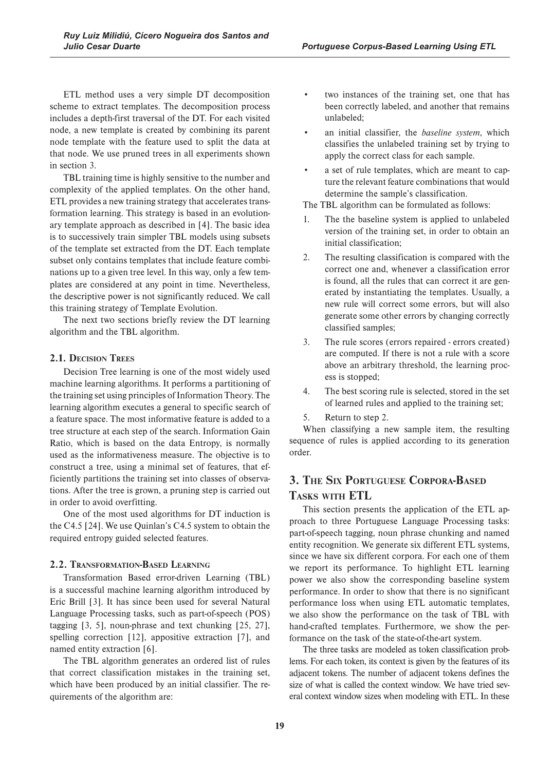ETL method uses a very simple DT decomposition scheme to extract templates. The decomposition process includes a depth-first traversal of the DT. For each visited node, a new template is created by combining its parent node template with the feature used to split the data at that node. We use pruned trees in all experiments shown in section 3.

TBL training time is highly sensitive to the number and complexity of the applied templates. On the other hand, ETL provides a new training strategy that accelerates transformation learning. This strategy is based in an evolutionary template approach as described in [4]. The basic idea is to successively train simpler TBL models using subsets of the template set extracted from the DT. Each template subset only contains templates that include feature combinations up to a given tree level. In this way, only a few templates are considered at any point in time. Nevertheless, the descriptive power is not significantly reduced. We call this training strategy of Template Evolution.

The next two sections briefly review the DT learning algorithm and the TBL algorithm.

# **2.1. DECISION TREES**

Decision Tree learning is one of the most widely used machine learning algorithms. It performs a partitioning of the training set using principles of Information Theory. The learning algorithm executes a general to specific search of a feature space. The most informative feature is added to a tree structure at each step of the search. Information Gain Ratio, which is based on the data Entropy, is normally used as the informativeness measure. The objective is to construct a tree, using a minimal set of features, that efficiently partitions the training set into classes of observations. After the tree is grown, a pruning step is carried out in order to avoid overfitting.

One of the most used algorithms for DT induction is the C4.5 [24]. We use Quinlan's C4.5 system to obtain the required entropy guided selected features.

# **2.2. TRANSFORMATION-BASED LEARNING**

Transformation Based error-driven Learning (TBL) is a successful machine learning algorithm introduced by Eric Brill [3]. It has since been used for several Natural Language Processing tasks, such as part-of-speech (POS) tagging [3, 5], noun-phrase and text chunking [25, 27], spelling correction [12], appositive extraction [7], and named entity extraction [6].

The TBL algorithm generates an ordered list of rules that correct classification mistakes in the training set, which have been produced by an initial classifier. The requirements of the algorithm are:

- when two instances of the training set, one that has been correctly labeled, and another that remains unlabeled;
- an initial classifier, the *baseline system*, which classifies the unlabeled training set by trying to apply the correct class for each sample.
- a set of rule templates, which are meant to capture the relevant feature combinations that would determine the sample's classification.

The TBL algorithm can be formulated as follows:

- 1. The the baseline system is applied to unlabeled version of the training set, in order to obtain an initial classification;
- 2. The resulting classification is compared with the correct one and, whenever a classification error is found, all the rules that can correct it are generated by instantiating the templates. Usually, a new rule will correct some errors, but will also generate some other errors by changing correctly classified samples;
- 3. The rule scores (errors repaired errors created) are computed. If there is not a rule with a score above an arbitrary threshold, the learning process is stopped;
- 4. The best scoring rule is selected, stored in the set of learned rules and applied to the training set;
- 5. Return to step 2.

When classifying a new sample item, the resulting sequence of rules is applied according to its generation order.

# **3. THE SIX PORTUGUESE CORPORA-BASED TASKS WITH ETL**

This section presents the application of the ETL approach to three Portuguese Language Processing tasks: part-of-speech tagging, noun phrase chunking and named entity recognition. We generate six different ETL systems, since we have six different corpora. For each one of them we report its performance. To highlight ETL learning power we also show the corresponding baseline system performance. In order to show that there is no significant performance loss when using ETL automatic templates, we also show the performance on the task of TBL with hand-crafted templates. Furthermore, we show the performance on the task of the state-of-the-art system.

The three tasks are modeled as token classification problems. For each token, its context is given by the features of its adjacent tokens. The number of adjacent tokens defines the size of what is called the context window. We have tried several context window sizes when modeling with ETL. In these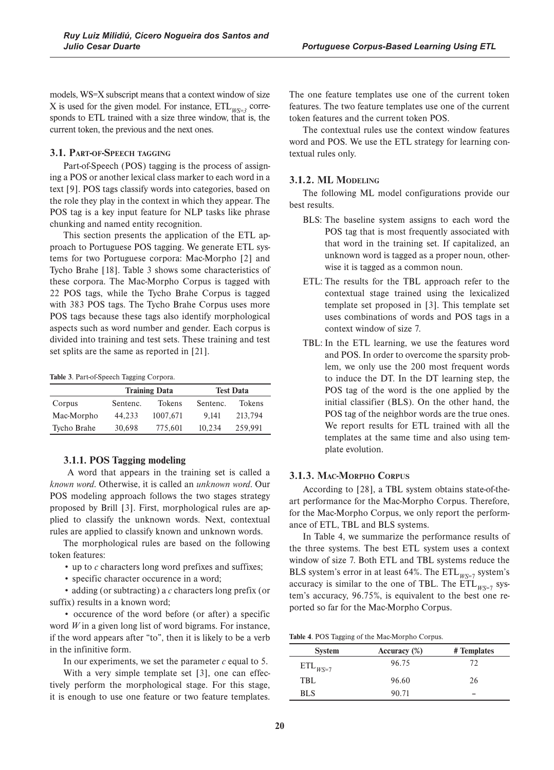models, WS=X subscript means that a context window of size X is used for the given model. For instance,  $ETL_{WSS=3}$  corresponds to ETL trained with a size three window, that is, the current token, the previous and the next ones.

### **3.1. PART-OF-SPEECH TAGGING**

Part-of-Speech (POS) tagging is the process of assigning a POS or another lexical class marker to each word in a text [9]. POS tags classify words into categories, based on the role they play in the context in which they appear. The POS tag is a key input feature for NLP tasks like phrase chunking and named entity recognition.

This section presents the application of the ETL approach to Portuguese POS tagging. We generate ETL systems for two Portuguese corpora: Mac-Morpho [2] and Tycho Brahe [18]. Table 3 shows some characteristics of these corpora. The Mac-Morpho Corpus is tagged with 22 POS tags, while the Tycho Brahe Corpus is tagged with 383 POS tags. The Tycho Brahe Corpus uses more POS tags because these tags also identify morphological aspects such as word number and gender. Each corpus is divided into training and test sets. These training and test set splits are the same as reported in [21].

**Table 3**. Part-of-Speech Tagging Corpora.

|             |          | <b>Training Data</b> |          | <b>Test Data</b> |
|-------------|----------|----------------------|----------|------------------|
| Corpus      | Sentenc. | <b>Tokens</b>        | Sentenc. | <b>Tokens</b>    |
| Mac-Morpho  | 44.233   | 1007.671             | 9.141    | 213,794          |
| Tycho Brahe | 30.698   | 775,601              | 10.234   | 259,991          |

#### **3.1.1. POS Tagging modeling**

 A word that appears in the training set is called a *known word*. Otherwise, it is called an *unknown word*. Our POS modeling approach follows the two stages strategy proposed by Brill [3]. First, morphological rules are applied to classify the unknown words. Next, contextual rules are applied to classify known and unknown words.

The morphological rules are based on the following token features:

- up to c characters long word prefixes and suffixes;
- specific character occurence in a word;

• adding (or subtracting) a c characters long prefix (or suffix) results in a known word;

• occurence of the word before (or after) a specific word *W* in a given long list of word bigrams. For instance, if the word appears after "to", then it is likely to be a verb in the infinitive form.

In our experiments, we set the parameter *c* equal to 5.

With a very simple template set [3], one can effectively perform the morphological stage. For this stage, it is enough to use one feature or two feature templates.

The one feature templates use one of the current token features. The two feature templates use one of the current token features and the current token POS.

The contextual rules use the context window features word and POS. We use the ETL strategy for learning contextual rules only.

# **3.1.2. ML MODELING**

The following ML model configurations provide our best results.

- BLS: The baseline system assigns to each word the POS tag that is most frequently associated with that word in the training set. If capitalized, an unknown word is tagged as a proper noun, otherwise it is tagged as a common noun.
- ETL: The results for the TBL approach refer to the contextual stage trained using the lexicalized template set proposed in [3]. This template set uses combinations of words and POS tags in a context window of size 7.
- TBL: In the ETL learning, we use the features word and POS. In order to overcome the sparsity problem, we only use the 200 most frequent words to induce the DT. In the DT learning step, the POS tag of the word is the one applied by the initial classifier (BLS). On the other hand, the POS tag of the neighbor words are the true ones. We report results for ETL trained with all the templates at the same time and also using template evolution.

### **3.1.3. MAC-MORPHO CORPUS**

According to [28], a TBL system obtains state-of-theart performance for the Mac-Morpho Corpus. Therefore, for the Mac-Morpho Corpus, we only report the performance of ETL, TBL and BLS systems.

In Table 4, we summarize the performance results of the three systems. The best ETL system uses a context window of size 7. Both ETL and TBL systems reduce the BLS system's error in at least 64%. The ETL<sub>WS=7</sub> system's accuracy is similar to the one of TBL. The  $ETL_{WS=7}$  system's accuracy, 96.75%, is equivalent to the best one reported so far for the Mac-Morpho Corpus.

**Table 4**. POS Tagging of the Mac-Morpho Corpus.

| <b>System</b>       | Accuracy $(\%)$ | # Templates |
|---------------------|-----------------|-------------|
| $\text{ETL}_{WS=7}$ | 96.75           | 72          |
| <b>TBL</b>          | 96.60           | 26          |
| <b>BLS</b>          | 90.71           | -           |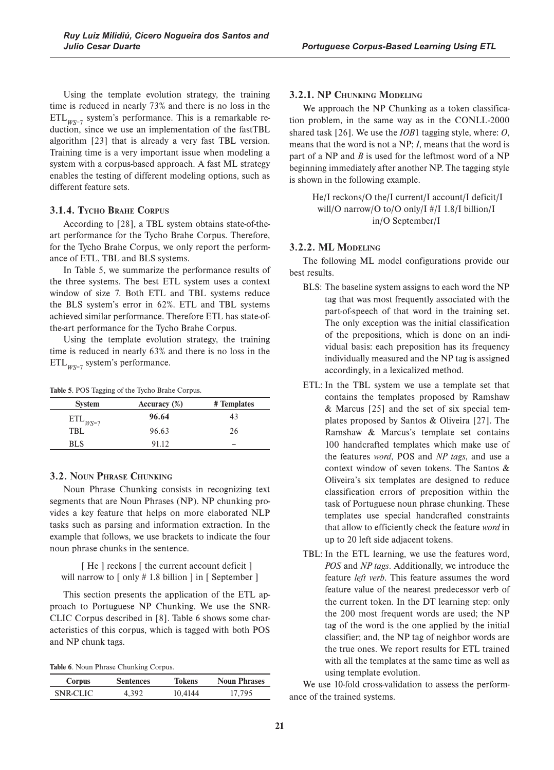Using the template evolution strategy, the training time is reduced in nearly 73% and there is no loss in the  $ETL_{WS=7}$  system's performance. This is a remarkable reduction, since we use an implementation of the fastTBL algorithm [23] that is already a very fast TBL version. Training time is a very important issue when modeling a system with a corpus-based approach. A fast ML strategy enables the testing of different modeling options, such as different feature sets.

# **3.1.4. TYCHO BRAHE CORPUS**

According to [28], a TBL system obtains state-of-theart performance for the Tycho Brahe Corpus. Therefore, for the Tycho Brahe Corpus, we only report the performance of ETL, TBL and BLS systems.

In Table 5, we summarize the performance results of the three systems. The best ETL system uses a context window of size 7. Both ETL and TBL systems reduce the BLS system's error in 62%. ETL and TBL systems achieved similar performance. Therefore ETL has state-ofthe-art performance for the Tycho Brahe Corpus.

Using the template evolution strategy, the training time is reduced in nearly 63% and there is no loss in the  $ETL_{WS=7}$  system's performance.

| Table 5. POS Tagging of the Tycho Brahe Corpus. |  |  |  |  |  |
|-------------------------------------------------|--|--|--|--|--|
|-------------------------------------------------|--|--|--|--|--|

| <b>System</b>         | Accuracy $(\%)$ | # Templates |
|-----------------------|-----------------|-------------|
| $\text{ETL}_{W\!S=7}$ | 96.64           | 43          |
| TBL                   | 96.63           | 26          |
| BL S                  | 91.12           | --          |

# **3.2. NOUN PHRASE CHUNKING**

Noun Phrase Chunking consists in recognizing text segments that are Noun Phrases (NP). NP chunking provides a key feature that helps on more elaborated NLP tasks such as parsing and information extraction. In the example that follows, we use brackets to indicate the four noun phrase chunks in the sentence.

[He ] reckons [ the current account deficit ] will narrow to [ only # 1.8 billion ] in [ September ]

This section presents the application of the ETL approach to Portuguese NP Chunking. We use the SNR-CLIC Corpus described in [8]. Table 6 shows some characteristics of this corpus, which is tagged with both POS and NP chunk tags.

|  |  |  | Table 6. Noun Phrase Chunking Corpus. |  |
|--|--|--|---------------------------------------|--|
|--|--|--|---------------------------------------|--|

| Corpus   | <b>Sentences</b> | Tokens  | <b>Noun Phrases</b> |
|----------|------------------|---------|---------------------|
| SNR-CLIC | 392              | 10.4144 | 17 795              |

# **3.2.1. NP CHUNKING MODELING**

We approach the NP Chunking as a token classification problem, in the same way as in the CONLL-2000 shared task [26]. We use the *IOB*1 tagging style, where: *O*, means that the word is not a NP; *I*, means that the word is part of a NP and *B* is used for the leftmost word of a NP beginning immediately after another NP. The tagging style is shown in the following example.

> He/I reckons/O the/I current/I account/I deficit/I will/O narrow/O to/O only/I #/I 1.8/I billion/I in/O September/I

#### **3.2.2. ML MODELING**

The following ML model configurations provide our best results.

- BLS: The baseline system assigns to each word the NP tag that was most frequently associated with the part-of-speech of that word in the training set. The only exception was the initial classification of the prepositions, which is done on an individual basis: each preposition has its frequency individually measured and the NP tag is assigned accordingly, in a lexicalized method.
- ETL: In the TBL system we use a template set that contains the templates proposed by Ramshaw & Marcus [25] and the set of six special templates proposed by Santos & Oliveira [27]. The Ramshaw & Marcus's template set contains 100 handcrafted templates which make use of the features *word*, POS and *NP tags*, and use a context window of seven tokens. The Santos & Oliveira's six templates are designed to reduce classification errors of preposition within the task of Portuguese noun phrase chunking. These templates use special handcrafted constraints that allow to efficiently check the feature *word* in up to 20 left side adjacent tokens.
- TBL: In the ETL learning, we use the features word, *POS* and *NP tags*. Additionally, we introduce the feature *left verb*. This feature assumes the word feature value of the nearest predecessor verb of the current token. In the DT learning step: only the 200 most frequent words are used; the NP tag of the word is the one applied by the initial classifier; and, the NP tag of neighbor words are the true ones. We report results for ETL trained with all the templates at the same time as well as using template evolution.

We use 10-fold cross-validation to assess the performance of the trained systems.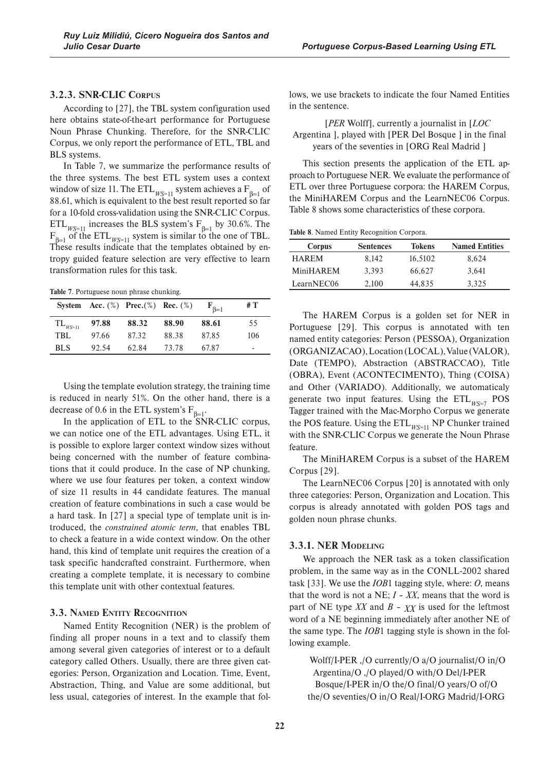# **3.2.3. SNR-CLIC CORPUS**

According to [27], the TBL system configuration used here obtains state-of-the-art performance for Portuguese Noun Phrase Chunking. Therefore, for the SNR-CLIC Corpus, we only report the performance of ETL, TBL and BLS systems.

In Table 7, we summarize the performance results of the three systems. The best ETL system uses a context window of size 11. The  $\text{ETL}_{W\text{S}=11}$  system achieves a  $\text{F}_{\text{B}=1}$  of 88.61, which is equivalent to the best result reported so far for a 10-fold cross-validation using the SNR-CLIC Corpus.  $ETL_{W\nu s=11}$  increases the BLS system's  $F_{\beta=1}$  by 30.6%. The  $F_{\beta=1}$  of the ETL<sub>WS=11</sub> system is similar to the one of TBL. These results indicate that the templates obtained by entropy guided feature selection are very effective to learn transformation rules for this task.

**Table 7**. Portuguese noun phrase chunking.

|              |       |       | <b>System</b> Acc. (%) Prec. (%) Rec. (%) $F_{\beta=1}$ |       | # T |
|--------------|-------|-------|---------------------------------------------------------|-------|-----|
| $TL_{WS=11}$ | 97.88 | 88.32 | 88.90                                                   | 88.61 | 55  |
| <b>TBL</b>   | 97.66 | 87.32 | 88.38                                                   | 87.85 | 106 |
| <b>BLS</b>   | 92.54 | 62.84 | 73.78                                                   | 67.87 | ۰   |

Using the template evolution strategy, the training time is reduced in nearly 51%. On the other hand, there is a decrease of 0.6 in the ETL system's  $F_{\beta=1}$ .

In the application of ETL to the SNR-CLIC corpus, we can notice one of the ETL advantages. Using ETL, it is possible to explore larger context window sizes without being concerned with the number of feature combinations that it could produce. In the case of NP chunking, where we use four features per token, a context window of size 11 results in 44 candidate features. The manual creation of feature combinations in such a case would be a hard task. In [27] a special type of template unit is introduced, the *constrained atomic term*, that enables TBL to check a feature in a wide context window. On the other hand, this kind of template unit requires the creation of a task specific handcrafted constraint. Furthermore, when creating a complete template, it is necessary to combine this template unit with other contextual features.

#### **3.3. NAMED ENTITY RECOGNITION**

Named Entity Recognition (NER) is the problem of finding all proper nouns in a text and to classify them among several given categories of interest or to a default category called Others. Usually, there are three given categories: Person, Organization and Location. Time, Event, Abstraction, Thing, and Value are some additional, but less usual, categories of interest. In the example that follows, we use brackets to indicate the four Named Entities in the sentence.

 [*PER* Wolff], currently a journalist in [*LOC* Argentina ], played with [PER Del Bosque ] in the final years of the seventies in [ORG Real Madrid ]

This section presents the application of the ETL approach to Portuguese NER. We evaluate the performance of ETL over three Portuguese corpora: the HAREM Corpus, the MiniHAREM Corpus and the LearnNEC06 Corpus. Table 8 shows some characteristics of these corpora.

**Table 8**. Named Entity Recognition Corpora.

| Corpus       | <b>Sentences</b> | <b>Tokens</b> | <b>Named Entities</b> |
|--------------|------------------|---------------|-----------------------|
| <b>HAREM</b> | 8.142            | 16.5102       | 8.624                 |
| MiniHAREM    | 3.393            | 66.627        | 3.641                 |
| LearnNEC06   | 2.100            | 44.835        | 3.325                 |

The HAREM Corpus is a golden set for NER in Portuguese [29]. This corpus is annotated with ten named entity categories: Person (PESSOA), Organization (ORGANIZACAO), Location (LOCAL), Value (VALOR), Date (TEMPO), Abstraction (ABSTRACCAO), Title (OBRA), Event (ACONTECIMENTO), Thing (COISA) and Other (VARIADO). Additionally, we automaticaly generate two input features. Using the  $ETL_{WS=7}$  POS Tagger trained with the Mac-Morpho Corpus we generate the POS feature. Using the ETL<sub>WS=11</sub> NP Chunker trained with the SNR-CLIC Corpus we generate the Noun Phrase feature.

The MiniHAREM Corpus is a subset of the HAREM Corpus [29].

The LearnNEC06 Corpus [20] is annotated with only three categories: Person, Organization and Location. This corpus is already annotated with golden POS tags and golden noun phrase chunks.

#### **3.3.1. NER MODELING**

We approach the NER task as a token classification problem, in the same way as in the CONLL-2002 shared task [33]. We use the *IOB*1 tagging style, where: *O*, means that the word is not a NE; *I – XX*, means that the word is part of NE type *XX* and *B – XX* is used for the leftmost word of a NE beginning immediately after another NE of the same type. The *IOB*1 tagging style is shown in the following example.

 Wolff/I-PER ,/O currently/O a/O journalist/O in/O Argentina/O ,/O played/O with/O Del/I-PER Bosque/I-PER in/O the/O final/O years/O of/O the/O seventies/O in/O Real/I-ORG Madrid/I-ORG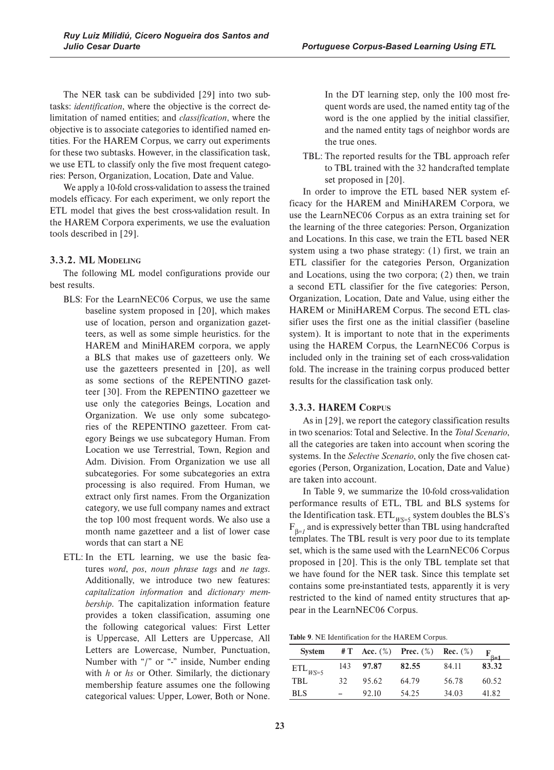The NER task can be subdivided [29] into two subtasks: *identification*, where the objective is the correct delimitation of named entities; and *classification*, where the objective is to associate categories to identified named entities. For the HAREM Corpus, we carry out experiments for these two subtasks. However, in the classification task, we use ETL to classify only the five most frequent categories: Person, Organization, Location, Date and Value.

We apply a 10-fold cross-validation to assess the trained models efficacy. For each experiment, we only report the ETL model that gives the best cross-validation result. In the HAREM Corpora experiments, we use the evaluation tools described in [29].

# **3.3.2. ML MODELING**

The following ML model configurations provide our best results.

- BLS: For the LearnNEC06 Corpus, we use the same baseline system proposed in [20], which makes use of location, person and organization gazetteers, as well as some simple heuristics. for the HAREM and MiniHAREM corpora, we apply a BLS that makes use of gazetteers only. We use the gazetteers presented in [20], as well as some sections of the REPENTINO gazetteer [30]. From the REPENTINO gazetteer we use only the categories Beings, Location and Organization. We use only some subcategories of the REPENTINO gazetteer. From category Beings we use subcategory Human. From Location we use Terrestrial, Town, Region and Adm. Division. From Organization we use all subcategories. For some subcategories an extra processing is also required. From Human, we extract only first names. From the Organization category, we use full company names and extract the top 100 most frequent words. We also use a month name gazetteer and a list of lower case words that can start a NE
- ETL: In the ETL learning, we use the basic features *word*, *pos*, *noun phrase tags* and *ne tags*. Additionally, we introduce two new features: *capitalization information* and *dictionary membership*. The capitalization information feature provides a token classification, assuming one the following categorical values: First Letter is Uppercase, All Letters are Uppercase, All Letters are Lowercase, Number, Punctuation, Number with "/" or "-" inside, Number ending with *h* or *hs* or Other. Similarly, the dictionary membership feature assumes one the following categorical values: Upper, Lower, Both or None.

In the DT learning step, only the 100 most frequent words are used, the named entity tag of the word is the one applied by the initial classifier, and the named entity tags of neighbor words are the true ones.

TBL: The reported results for the TBL approach refer to TBL trained with the 32 handcrafted template set proposed in [20].

In order to improve the ETL based NER system efficacy for the HAREM and MiniHAREM Corpora, we use the LearnNEC06 Corpus as an extra training set for the learning of the three categories: Person, Organization and Locations. In this case, we train the ETL based NER system using a two phase strategy: (1) first, we train an ETL classifier for the categories Person, Organization and Locations, using the two corpora; (2) then, we train a second ETL classifier for the five categories: Person, Organization, Location, Date and Value, using either the HAREM or MiniHAREM Corpus. The second ETL classifier uses the first one as the initial classifier (baseline system). It is important to note that in the experiments using the HAREM Corpus, the LearnNEC06 Corpus is included only in the training set of each cross-validation fold. The increase in the training corpus produced better results for the classification task only.

# **3.3.3. HAREM CORPUS**

As in [29], we report the category classification results in two scenarios: Total and Selective. In the *Total Scenario*, all the categories are taken into account when scoring the systems. In the *Selective Scenario*, only the five chosen categories (Person, Organization, Location, Date and Value) are taken into account.

In Table 9, we summarize the 10-fold cross-validation performance results of ETL, TBL and BLS systems for the Identification task.  $ETL_{WSS=5}$  system doubles the BLS's  $F_{\beta=1}$  and is expressively better than TBL using handcrafted templates. The TBL result is very poor due to its template set, which is the same used with the LearnNEC06 Corpus proposed in [20]. This is the only TBL template set that we have found for the NER task. Since this template set contains some pre-instantiated tests, apparently it is very restricted to the kind of named entity structures that appear in the LearnNEC06 Corpus.

**Table 9**. NE Identification for the HAREM Corpus.

| <b>System</b>         |     |       | # T Acc. $(\%)$ Prec. $(\%)$ Rec. $(\%)$ |       | $F_{\beta=1}$ |
|-----------------------|-----|-------|------------------------------------------|-------|---------------|
| $ETL$ <sub>WS=5</sub> | 143 | 97.87 | 82.55                                    | 84.11 | 83.32         |
| <b>TBL</b>            | 32  | 95.62 | 64.79                                    | 56.78 | 60.52         |
| <b>BLS</b>            |     | 92.10 | 54.25                                    | 34.03 | 41.82         |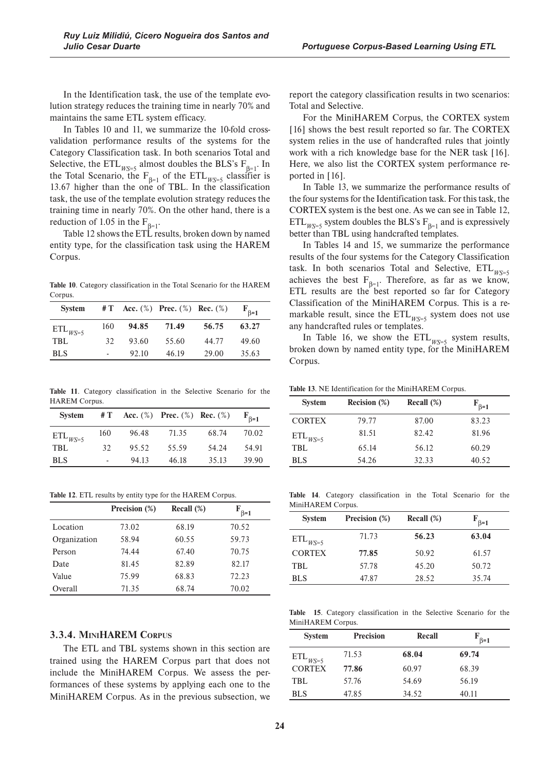In the Identification task, the use of the template evolution strategy reduces the training time in nearly 70% and maintains the same ETL system efficacy.

In Tables 10 and 11, we summarize the 10-fold crossvalidation performance results of the systems for the Category Classification task. In both scenarios Total and Selective, the ETL<sub>WS=5</sub> almost doubles the BLS's  $F_{B=1}$ . In the Total Scenario, the  $F_{\beta=1}$  of the ETL<sub>WS=5</sub> classifier is 13.67 higher than the one of TBL. In the classification task, the use of the template evolution strategy reduces the training time in nearly 70%. On the other hand, there is a reduction of 1.05 in the  $F_{\beta=1}$ .

Table 12 shows the ETL results, broken down by named entity type, for the classification task using the HAREM Corpus.

**Table 10**. Category classification in the Total Scenario for the HAREM Corpus.

| <b>System</b>                |     |       | # T Acc. $(\%)$ Prec. $(\%)$ Rec. $(\%)$ |       | $F_{\beta=1}$ |
|------------------------------|-----|-------|------------------------------------------|-------|---------------|
| $ETL$ <sub><i>WS=5</i></sub> | 160 | 94.85 | 71.49                                    | 56.75 | 63.27         |
| <b>TBL</b>                   | 32  | 93.60 | 55.60                                    | 44.77 | 49.60         |
| <b>BLS</b>                   |     | 92.10 | 46.19                                    | 29.00 | 35.63         |

**Table 11**. Category classification in the Selective Scenario for the HAREM Corpus.

| <b>System</b>                |     |       | # T Acc. $(\%)$ Prec. $(\%)$ Rec. $(\%)$ |       | $F_{\beta=1}$ |
|------------------------------|-----|-------|------------------------------------------|-------|---------------|
| $ETL$ <sub><i>WS=5</i></sub> | 160 | 96.48 | 71.35                                    | 68.74 | 70.02         |
| <b>TBL</b>                   | 32  | 95.52 | 55.59                                    | 54.24 | 54.91         |
| <b>BLS</b>                   | ٠   | 94.13 | 46.18                                    | 35.13 | 39.90         |

**Table 12**. ETL results by entity type for the HAREM Corpus.

|              | Precision (%) | Recall $(\%)$ | $F_{\beta=1}$ |
|--------------|---------------|---------------|---------------|
| Location     | 73.02         | 68.19         | 70.52         |
| Organization | 58.94         | 60.55         | 59.73         |
| Person       | 74.44         | 67.40         | 70.75         |
| Date         | 81.45         | 82.89         | 82.17         |
| Value        | 75.99         | 68.83         | 72.23         |
| Overall      | 71.35         | 68.74         | 70.02         |

# **3.3.4. MINIHAREM CORPUS**

The ETL and TBL systems shown in this section are trained using the HAREM Corpus part that does not include the MiniHAREM Corpus. We assess the performances of these systems by applying each one to the MiniHAREM Corpus. As in the previous subsection, we

report the category classification results in two scenarios: Total and Selective.

For the MiniHAREM Corpus, the CORTEX system [16] shows the best result reported so far. The CORTEX system relies in the use of handcrafted rules that jointly work with a rich knowledge base for the NER task [16]. Here, we also list the CORTEX system performance reported in [16].

In Table 13, we summarize the performance results of the four systems for the Identification task. For this task, the CORTEX system is the best one. As we can see in Table 12,  $ETL_{WSS=5}$  system doubles the BLS's  $F_{\beta=1}$  and is expressively better than TBL using handcrafted templates.

In Tables 14 and 15, we summarize the performance results of the four systems for the Category Classification task. In both scenarios Total and Selective,  $ETL_{WSS}$ achieves the best  $F_{\beta=1}$ . Therefore, as far as we know, ETL results are the best reported so far for Category Classification of the MiniHAREM Corpus. This is a remarkable result, since the  $ETL_{WSS}$  system does not use any handcrafted rules or templates.

In Table 16, we show the  $ETL_{WS=5}$  system results, broken down by named entity type, for the MiniHAREM Corpus.

**Table 13**. NE Identification for the MiniHAREM Corpus.

| <b>System</b> | Recision $(\%)$ | Recall $(\%)$ | $\beta = 1$ |
|---------------|-----------------|---------------|-------------|
| <b>CORTEX</b> | 79.77           | 87.00         | 83.23       |
| $ETL_{WS=5}$  | 81.51           | 82.42         | 81.96       |
| TBL           | 65.14           | 56.12         | 60.29       |
| <b>BLS</b>    | 54.26           | 32.33         | 40.52       |

**Table 14**. Category classification in the Total Scenario for the MiniHAREM Corpus.

| <b>System</b>       | Precision (%) | Recall $(\%)$ | $F_{\beta=1}$ |
|---------------------|---------------|---------------|---------------|
| $\text{ETL}_{WS=5}$ | 71.73         | 56.23         | 63.04         |
| <b>CORTEX</b>       | 77.85         | 50.92         | 61.57         |
| <b>TBL</b>          | 57.78         | 45.20         | 50.72         |
| <b>BLS</b>          | 47.87         | 28.52         | 35.74         |

**Table 15**. Category classification in the Selective Scenario for the MiniHAREM Corpus.

| <b>System</b> | <b>Precision</b> | Recall | $\beta = 1$ |
|---------------|------------------|--------|-------------|
| $ETL_{WS=5}$  | 71.53            | 68.04  | 69.74       |
| <b>CORTEX</b> | 77.86            | 60.97  | 68.39       |
| <b>TBL</b>    | 57.76            | 54.69  | 56.19       |
| <b>BLS</b>    | 47.85            | 34.52  | 40.11       |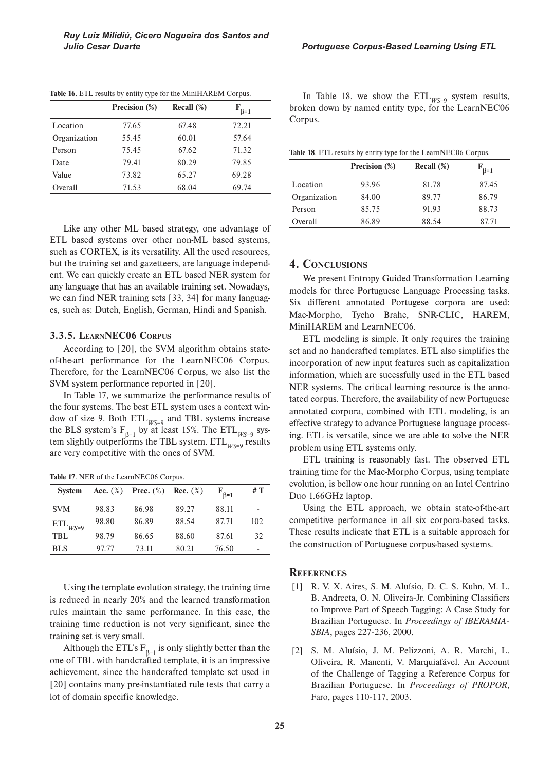|              | Precision (%) | Recall $(\%)$ | $F_{\beta=1}$ |
|--------------|---------------|---------------|---------------|
| Location     | 77.65         | 67.48         | 72.21         |
| Organization | 55.45         | 60.01         | 57.64         |
| Person       | 75.45         | 67.62         | 71.32         |
| Date         | 79.41         | 80.29         | 79.85         |
| Value        | 73.82         | 65.27         | 69.28         |
| Overall      | 71.53         | 68.04         | 69.74         |

**Table 16**. ETL results by entity type for the MiniHAREM Corpus.

Like any other ML based strategy, one advantage of ETL based systems over other non-ML based systems, such as CORTEX, is its versatility. All the used resources, but the training set and gazetteers, are language independent. We can quickly create an ETL based NER system for any language that has an available training set. Nowadays, we can find NER training sets [33, 34] for many languages, such as: Dutch, English, German, Hindi and Spanish.

#### **3.3.5. LEARNNEC06 CORPUS**

According to [20], the SVM algorithm obtains stateof-the-art performance for the LearnNEC06 Corpus. Therefore, for the LearnNEC06 Corpus, we also list the SVM system performance reported in [20].

In Table 17, we summarize the performance results of the four systems. The best ETL system uses a context window of size 9. Both  $ETL_{WS=9}$  and TBL systems increase the BLS system's  $F_{\beta=1}$  by at least 15%. The ETL<sub>WS=9</sub> system slightly outperforms the TBL system.  $ETL_{WS=9}$  results are very competitive with the ones of SVM.

**Table 17**. NER of the LearnNEC06 Corpus.

| <b>System</b> |       | Acc. $(\%)$ Prec. $(\%)$ Rec. $(\%)$ |       | $F_{\beta=1}$ | # T |
|---------------|-------|--------------------------------------|-------|---------------|-----|
| <b>SVM</b>    | 98.83 | 86.98                                | 89.27 | 88.11         |     |
| $ETL_{WS=9}$  | 98.80 | 86.89                                | 88.54 | 87.71         | 102 |
| <b>TBL</b>    | 98.79 | 86.65                                | 88.60 | 87.61         | 32  |
| <b>BLS</b>    | 97.77 | 73.11                                | 80.21 | 76.50         | ٠   |

Using the template evolution strategy, the training time is reduced in nearly 20% and the learned transformation rules maintain the same performance. In this case, the training time reduction is not very significant, since the training set is very small.

Although the ETL's  $F_{\beta=1}$  is only slightly better than the one of TBL with handcrafted template, it is an impressive achievement, since the handcrafted template set used in [20] contains many pre-instantiated rule tests that carry a lot of domain specific knowledge.

In Table 18, we show the  $ETL_{WS=9}$  system results, broken down by named entity type, for the LearnNEC06 Corpus.

|  |  | Table 18. ETL results by entity type for the LearnNEC06 Corpus. |  |
|--|--|-----------------------------------------------------------------|--|
|--|--|-----------------------------------------------------------------|--|

|              | Precision (%) | Recall $(\%)$ | $F_{\beta=1}$ |
|--------------|---------------|---------------|---------------|
| Location     | 93.96         | 81.78         | 87.45         |
| Organization | 84.00         | 89.77         | 86.79         |
| Person       | 85.75         | 91.93         | 88.73         |
| Overall      | 86.89         | 88.54         | 87.71         |

# **4. CONCLUSIONS**

We present Entropy Guided Transformation Learning models for three Portuguese Language Processing tasks. Six different annotated Portugese corpora are used: Mac-Morpho, Tycho Brahe, SNR-CLIC, HAREM, MiniHAREM and LearnNEC06.

ETL modeling is simple. It only requires the training set and no handcrafted templates. ETL also simplifies the incorporation of new input features such as capitalization information, which are sucessfully used in the ETL based NER systems. The critical learning resource is the annotated corpus. Therefore, the availability of new Portuguese annotated corpora, combined with ETL modeling, is an effective strategy to advance Portuguese language processing. ETL is versatile, since we are able to solve the NER problem using ETL systems only.

ETL training is reasonably fast. The observed ETL training time for the Mac-Morpho Corpus, using template evolution, is bellow one hour running on an Intel Centrino Duo 1.66GHz laptop.

Using the ETL approach, we obtain state-of-the-art competitive performance in all six corpora-based tasks. These results indicate that ETL is a suitable approach for the construction of Portuguese corpus-based systems.

# **REFERENCES**

- [1] R. V. X. Aires, S. M. Aluísio, D. C. S. Kuhn, M. L. B. Andreeta, O. N. Oliveira-Jr. Combining Classifiers to Improve Part of Speech Tagging: A Case Study for Brazilian Portuguese. In *Proceedings of IBERAMIA-SBIA*, pages 227-236, 2000.
- [2] S. M. Aluísio, J. M. Pelizzoni, A. R. Marchi, L. Oliveira, R. Manenti, V. Marquiafável. An Account of the Challenge of Tagging a Reference Corpus for Brazilian Portuguese. In *Proceedings of PROPOR*, Faro, pages 110-117, 2003.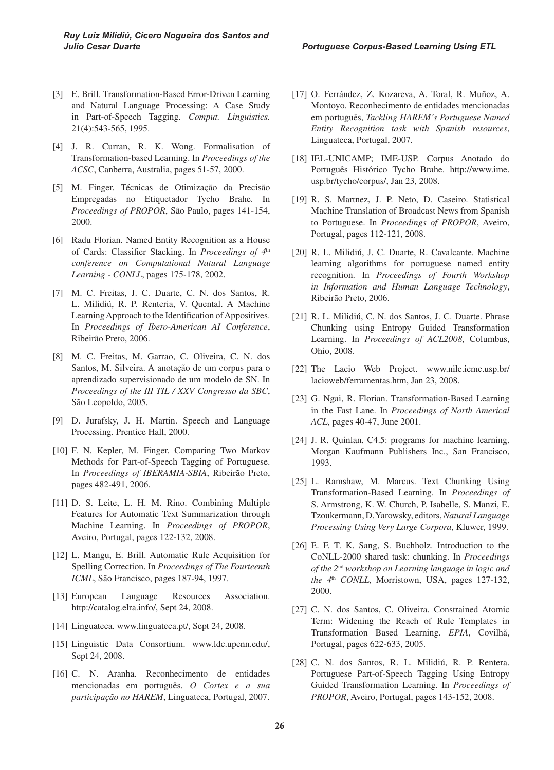- [3] E. Brill. Transformation-Based Error-Driven Learning and Natural Language Processing: A Case Study in Part-of-Speech Tagging. *Comput. Linguistics.*  21(4):543-565, 1995.
- [4] J. R. Curran, R. K. Wong. Formalisation of Transformation-based Learning. In *Proceedings of the ACSC*, Canberra, Australia, pages 51-57, 2000.
- [5] M. Finger. Técnicas de Otimização da Precisão Empregadas no Etiquetador Tycho Brahe. In *Proceedings of PROPOR*, São Paulo, pages 141-154, 2000.
- [6] Radu Florian. Named Entity Recognition as a House of Cards: Classifier Stacking. In *Proceedings of 4*th *conference on Computational Natural Language Learning - CONLL*, pages 175-178, 2002.
- [7] M. C. Freitas, J. C. Duarte, C. N. dos Santos, R. L. Milidiú, R. P. Renteria, V. Quental. A Machine Learning Approach to the Identification of Appositives. In *Proceedings of Ibero-American AI Conference*, Ribeirão Preto, 2006.
- [8] M. C. Freitas, M. Garrao, C. Oliveira, C. N. dos Santos, M. Silveira. A anotação de um corpus para o aprendizado supervisionado de um modelo de SN. In *Proceedings of the III TIL / XXV Congresso da SBC*, São Leopoldo, 2005.
- [9] D. Jurafsky, J. H. Martin. Speech and Language Processing. Prentice Hall, 2000.
- [10] F. N. Kepler, M. Finger. Comparing Two Markov Methods for Part-of-Speech Tagging of Portuguese. In *Proceedings of IBERAMIA-SBIA*, Ribeirão Preto, pages 482-491, 2006.
- [11] D. S. Leite, L. H. M. Rino. Combining Multiple Features for Automatic Text Summarization through Machine Learning. In *Proceedings of PROPOR*, Aveiro, Portugal, pages 122-132, 2008.
- [12] L. Mangu, E. Brill. Automatic Rule Acquisition for Spelling Correction. In *Proceedings of The Fourteenth ICML*, São Francisco, pages 187-94, 1997.
- [13] European Language Resources Association. http://catalog.elra.info/, Sept 24, 2008.
- [14] Linguateca. www.linguateca.pt/, Sept 24, 2008.
- [15] Linguistic Data Consortium. www.ldc.upenn.edu/, Sept 24, 2008.
- [16] C. N. Aranha. Reconhecimento de entidades mencionadas em português. *O Cortex e a sua participação no HAREM*, Linguateca, Portugal, 2007.
- [17] O. Ferrández, Z. Kozareva, A. Toral, R. Muñoz, A. Montoyo. Reconhecimento de entidades mencionadas em português, *Tackling HAREM's Portuguese Named Entity Recognition task with Spanish resources*, Linguateca, Portugal, 2007.
- [18] IEL-UNICAMP; IME-USP. Corpus Anotado do Português Histórico Tycho Brahe. http://www.ime. usp.br/tycho/corpus/, Jan 23, 2008.
- [19] R. S. Martnez, J. P. Neto, D. Caseiro. Statistical Machine Translation of Broadcast News from Spanish to Portuguese. In *Proceedings of PROPOR*, Aveiro, Portugal, pages 112-121, 2008.
- [20] R. L. Milidiú, J. C. Duarte, R. Cavalcante. Machine learning algorithms for portuguese named entity recognition. In *Proceedings of Fourth Workshop in Information and Human Language Technology*, Ribeirão Preto, 2006.
- [21] R. L. Milidiú, C. N. dos Santos, J. C. Duarte. Phrase Chunking using Entropy Guided Transformation Learning. In *Proceedings of ACL2008*, Columbus, Ohio, 2008.
- [22] The Lacio Web Project. www.nilc.icmc.usp.br/ lacioweb/ferramentas.htm, Jan 23, 2008.
- [23] G. Ngai, R. Florian. Transformation-Based Learning in the Fast Lane. In *Proceedings of North Americal ACL*, pages 40-47, June 2001.
- [24] J. R. Quinlan. C4.5: programs for machine learning. Morgan Kaufmann Publishers Inc., San Francisco, 1993.
- [25] L. Ramshaw, M. Marcus. Text Chunking Using Transformation-Based Learning. In *Proceedings of* S. Armstrong, K. W. Church, P. Isabelle, S. Manzi, E. Tzoukermann, D. Yarowsky, editors, *Natural Language Processing Using Very Large Corpora*, Kluwer, 1999.
- [26] E. F. T. K. Sang, S. Buchholz. Introduction to the CoNLL-2000 shared task: chunking. In *Proceedings of the 2*nd *workshop on Learning language in logic and the 4*th *CONLL*, Morristown, USA, pages 127-132, 2000.
- [27] C. N. dos Santos, C. Oliveira. Constrained Atomic Term: Widening the Reach of Rule Templates in Transformation Based Learning. *EPIA*, Covilhã, Portugal, pages 622-633, 2005.
- [28] C. N. dos Santos, R. L. Milidiú, R. P. Rentera. Portuguese Part-of-Speech Tagging Using Entropy Guided Transformation Learning. In *Proceedings of PROPOR*, Aveiro, Portugal, pages 143-152, 2008.